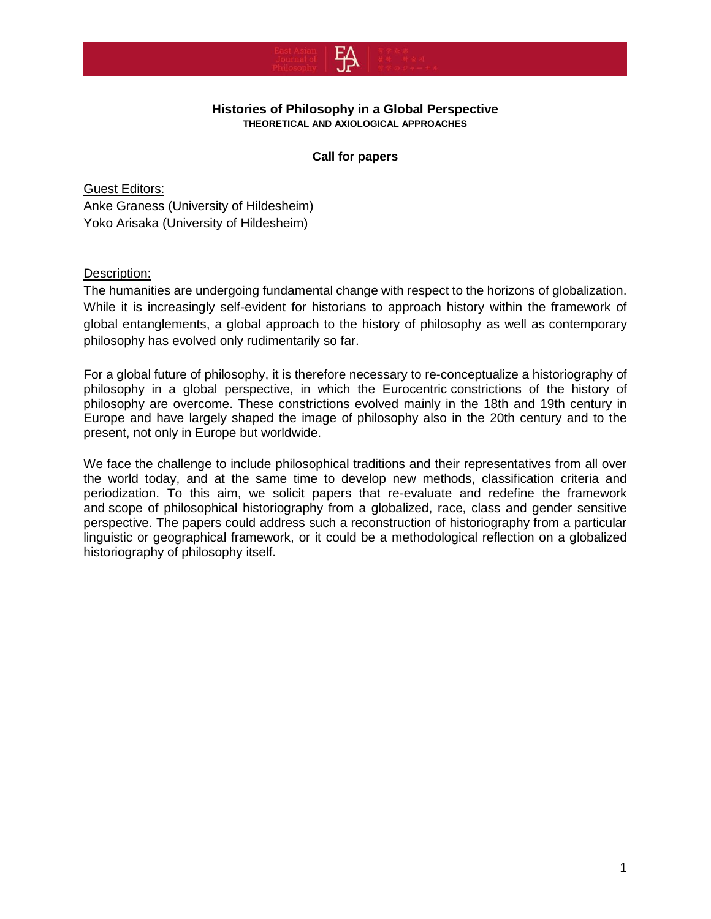

#### **Histories of Philosophy in a Global Perspective THEORETICAL AND AXIOLOGICAL APPROACHES**

### **Call for papers**

Guest Editors: Anke Graness (University of Hildesheim) Yoko Arisaka (University of Hildesheim)

## Description:

The humanities are undergoing fundamental change with respect to the horizons of globalization. While it is increasingly self-evident for historians to approach history within the framework of global entanglements, a global approach to the history of philosophy as well as contemporary philosophy has evolved only rudimentarily so far.

For a global future of philosophy, it is therefore necessary to re-conceptualize a historiography of philosophy in a global perspective, in which the Eurocentric constrictions of the history of philosophy are overcome. These constrictions evolved mainly in the 18th and 19th century in Europe and have largely shaped the image of philosophy also in the 20th century and to the present, not only in Europe but worldwide.

We face the challenge to include philosophical traditions and their representatives from all over the world today, and at the same time to develop new methods, classification criteria and periodization. To this aim, we solicit papers that re-evaluate and redefine the framework and scope of philosophical historiography from a globalized, race, class and gender sensitive perspective. The papers could address such a reconstruction of historiography from a particular linguistic or geographical framework, or it could be a methodological reflection on a globalized historiography of philosophy itself.